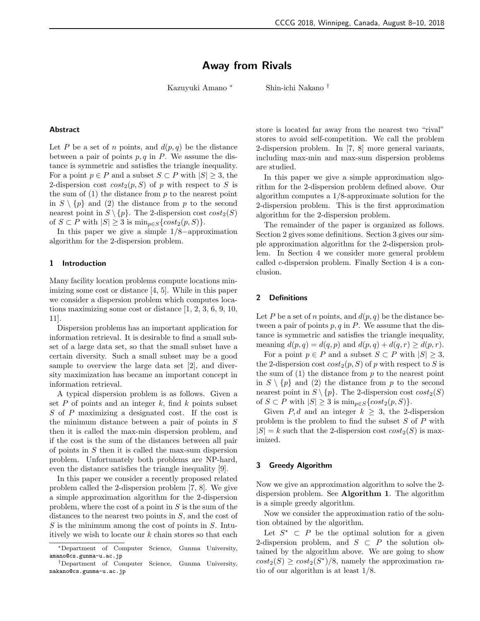# Away from Rivals

Kazuyuki Amano <sup>∗</sup> Shin-ichi Nakano †

# Abstract

Let P be a set of n points, and  $d(p,q)$  be the distance between a pair of points  $p, q$  in P. We assume the distance is symmetric and satisfies the triangle inequality. For a point  $p \in P$  and a subset  $S \subset P$  with  $|S| \geq 3$ , the 2-dispersion cost  $cost_2(p, S)$  of p with respect to S is the sum of  $(1)$  the distance from p to the nearest point in  $S \setminus \{p\}$  and (2) the distance from p to the second nearest point in  $S \setminus \{p\}$ . The 2-dispersion cost  $cost_2(S)$ of  $S \subset P$  with  $|S| \geq 3$  is  $\min_{p \in S} \{ cost_2(p, S) \}.$ 

In this paper we give a simple 1/8−approximation algorithm for the 2-dispersion problem.

### 1 Introduction

Many facility location problems compute locations minimizing some cost or distance [4, 5]. While in this paper we consider a dispersion problem which computes locations maximizing some cost or distance [1, 2, 3, 6, 9, 10, 11].

Dispersion problems has an important application for information retrieval. It is desirable to find a small subset of a large data set, so that the small subset have a certain diversity. Such a small subset may be a good sample to overview the large data set [2], and diversity maximization has became an important concept in information retrieval.

A typical dispersion problem is as follows. Given a set  $P$  of points and an integer  $k$ , find  $k$  points subset S of P maximizing a designated cost. If the cost is the minimum distance between a pair of points in  $S$ then it is called the max-min dispersion problem, and if the cost is the sum of the distances between all pair of points in  $S$  then it is called the max-sum dispersion problem. Unfortunately both problems are NP-hard, even the distance satisfies the triangle inequality [9].

In this paper we consider a recently proposed related problem called the 2-dispersion problem [7, 8]. We give a simple approximation algorithm for the 2-dispersion problem, where the cost of a point in  $S$  is the sum of the distances to the nearest two points in  $S$ , and the cost of  $S$  is the minimum among the cost of points in  $S$ . Intuitively we wish to locate our  $k$  chain stores so that each store is located far away from the nearest two "rival" stores to avoid self-competition. We call the problem 2-dispersion problem. In [7, 8] more general variants, including max-min and max-sum dispersion problems are studied.

In this paper we give a simple approximation algorithm for the 2-dispersion problem defined above. Our algorithm computes a 1/8-approximate solution for the 2-dispersion problem. This is the first approximation algorithm for the 2-dispersion problem.

The remainder of the paper is organized as follows. Section 2 gives some definitions. Section 3 gives our simple approximation algorithm for the 2-dispersion problem. In Section 4 we consider more general problem called c-dispersion problem. Finally Section 4 is a conclusion.

## 2 Definitions

Let P be a set of n points, and  $d(p, q)$  be the distance between a pair of points  $p, q$  in  $P$ . We assume that the distance is symmetric and satisfies the triangle inequality, meaning  $d(p, q) = d(q, p)$  and  $d(p, q) + d(q, r) \ge d(p, r)$ .

For a point  $p \in P$  and a subset  $S \subset P$  with  $|S| \geq 3$ , the 2-dispersion cost  $cost_2(p, S)$  of p with respect to S is the sum of  $(1)$  the distance from p to the nearest point in  $S \setminus \{p\}$  and (2) the distance from p to the second nearest point in  $S \setminus \{p\}$ . The 2-dispersion cost  $cost_2(S)$ of  $S \subset P$  with  $|S| \geq 3$  is  $\min_{p \in S} \{ cost_2(p, S) \}.$ 

Given P, d and an integer  $k \geq 3$ , the 2-dispersion problem is the problem to find the subset S of P with  $|S| = k$  such that the 2-dispersion cost  $cost_2(S)$  is maximized.

## 3 Greedy Algorithm

Now we give an approximation algorithm to solve the 2 dispersion problem. See Algorithm 1. The algorithm is a simple greedy algorithm.

Now we consider the approximation ratio of the solution obtained by the algorithm.

Let  $S^*$   $\subset$  P be the optimal solution for a given 2-dispersion problem, and  $S \subset P$  the solution obtained by the algorithm above. We are going to show  $cost_2(S) \geq cost_2(S^*)/8$ , namely the approximation ratio of our algorithm is at least 1/8.

<sup>∗</sup>Department of Computer Science, Gunma University, amano@cs.gunma-u.ac.jp

<sup>†</sup>Department of Computer Science, Gunma University, nakano@cs.gunma-u.ac.jp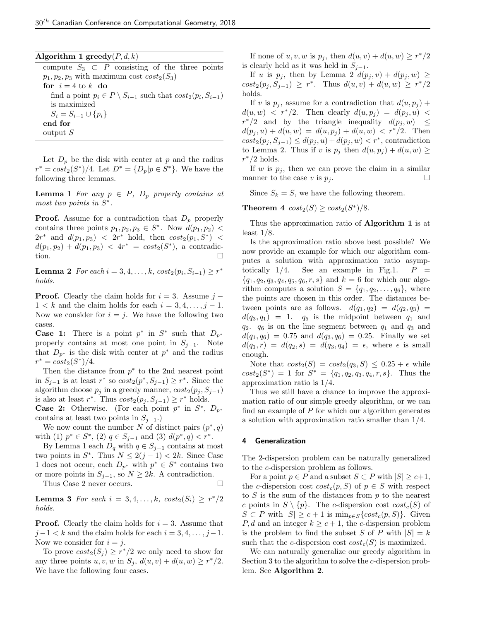| Algorithm 1 greedy $(P, d, k)$                                              |
|-----------------------------------------------------------------------------|
| compute $S_3 \subset P$ consisting of the three points                      |
| $p_1, p_2, p_3$ with maximum cost $cost_2(S_3)$                             |
| for $i=4$ to k do                                                           |
| find a point $p_i \in P \setminus S_{i-1}$ such that $cost_2(p_i, S_{i-1})$ |
| is maximized                                                                |
| $S_i = S_{i-1} \cup \{p_i\}$                                                |
| end for                                                                     |
| output S                                                                    |
|                                                                             |

Let  $D_p$  be the disk with center at p and the radius  $r^* = cost_2(S^*)/4$ . Let  $D^* = \{D_p | p \in S^*\}$ . We have the following three lemmas.

**Lemma 1** For any  $p \in P$ ,  $D_p$  properly contains at most two points in  $S^*$ .

**Proof.** Assume for a contradiction that  $D_p$  properly contains three points  $p_1, p_2, p_3 \in S^*$ . Now  $d(p_1, p_2)$  <  $2r^*$  and  $d(p_1, p_3) < 2r^*$  hold, then  $cost_2(p_1, S^*) <$  $d(p_1, p_2) + d(p_1, p_3) < 4r^* = cost_2(S^*),$  a contradiction.

**Lemma 2** For each  $i = 3, 4, ..., k$ ,  $cost_2(p_i, S_{i-1}) \ge r^*$ holds.

**Proof.** Clearly the claim holds for  $i = 3$ . Assume  $j 1 < k$  and the claim holds for each  $i = 3, 4, \ldots, j - 1$ . Now we consider for  $i = j$ . We have the following two cases.

**Case 1:** There is a point  $p^*$  in  $S^*$  such that  $D_{p^*}$ properly contains at most one point in  $S_{i-1}$ . Note that  $D_{p^*}$  is the disk with center at  $p^*$  and the radius  $r^* = cost_2(S^*)/4.$ 

Then the distance from  $p^*$  to the 2nd nearest point in  $S_{j-1}$  is at least  $r^*$  so  $cost_2(p^*, S_{j-1}) \geq r^*$ . Since the algorithm choose  $p_j$  in a greedy manner,  $cost_2(p_j, S_{j-1})$ is also at least  $r^*$ . Thus  $cost_2(p_j, S_{j-1}) \geq r^*$  holds.

**Case 2:** Otherwise. (For each point  $p^*$  in  $S^*$ ,  $D_{p^*}$ contains at least two points in  $S_{j-1}$ .)

We now count the number N of distinct pairs  $(p^*, q)$ with (1)  $p^* \in S^*$ , (2)  $q \in S_{j-1}$  and (3)  $d(p^*, q) < r^*$ .

By Lemma 1 each  $D_q$  with  $q \in S_{j-1}$  contains at most two points in  $S^*$ . Thus  $N \leq 2(j-1) < 2k$ . Since Case 1 does not occur, each  $D_{p^*}$  with  $p^* \in S^*$  contains two or more points in  $S_{j-1}$ , so  $N \geq 2k$ . A contradiction.

Thus Case 2 never occurs.

**Lemma 3** For each  $i = 3, 4, ..., k$ ,  $cost_2(S_i) \geq r^*/2$ holds.

**Proof.** Clearly the claim holds for  $i = 3$ . Assume that  $j-1 < k$  and the claim holds for each  $i = 3, 4, \ldots, j-1$ . Now we consider for  $i = j$ .

To prove  $cost_2(S_j) \geq r^*/2$  we only need to show for any three points  $u, v, w$  in  $S_j$ ,  $d(u, v) + d(u, w) \geq r^*/2$ . We have the following four cases.

If none of  $u, v, w$  is  $p_j$ , then  $d(u, v) + d(u, w) \geq r^*/2$ is clearly held as it was held in  $S_{j-1}$ .

If u is  $p_j$ , then by Lemma 2  $d(p_j, v) + d(p_j, w) \geq$  $cost_2(p_j, S_{j-1}) \geq r^*$ . Thus  $d(u, v) + d(u, w) \geq r^*/2$ holds.

If v is  $p_i$ , assume for a contradiction that  $d(u, p_i)$  +  $d(u, w) < r^*/2$ . Then clearly  $d(u, p_i) = d(p_i, u)$  $r^*/2$  and by the triangle inequality  $d(p_j, w) \leq$  $d(p_i, u) + d(u, w) = d(u, p_i) + d(u, w) < r^*/2$ . Then  $cost_2(p_j, S_{j-1}) \leq d(p_j, u) + d(p_j, w) < r^*$ , contradiction to Lemma 2. Thus if v is  $p_j$  then  $d(u, p_j) + d(u, w) \geq$  $r^*/2$  holds.

If w is  $p_i$ , then we can prove the claim in a similar manner to the case v is  $p_i$ .

Since  $S_k = S$ , we have the following theorem.

Theorem 4  $cost_2(S) \geq cost_2(S^*)/8$ .

Thus the approximation ratio of **Algorithm 1** is at least  $1/8$ .

Is the approximation ratio above best possible? We now provide an example for which our algorithm computes a solution with approximation ratio asymptotically  $1/4$ . See an example in Fig.1.  $P =$  ${q_1, q_2, q_3, q_4, q_5, q_6, r, s}$  and  $k = 6$  for which our algorithm computes a solution  $S = \{q_1, q_2, \ldots, q_6\}$ , where the points are chosen in this order. The distances between points are as follows.  $d(q_1, q_2) = d(q_2, q_3) =$  $d(q_3, q_1) = 1$ .  $q_5$  is the midpoint between  $q_1$  and  $q_2$ .  $q_6$  is on the line segment between  $q_1$  and  $q_3$  and  $d(q_1, q_6) = 0.75$  and  $d(q_3, q_6) = 0.25$ . Finally we set  $d(q_1, r) = d(q_2, s) = d(q_3, q_4) = \epsilon$ , where  $\epsilon$  is small enough.

Note that  $cost_2(S) = cost_2(q_3, S) \leq 0.25 + \epsilon$  while  $cost_2(S^*) = 1$  for  $S^* = \{q_1, q_2, q_3, q_4, r, s\}.$  Thus the approximation ratio is 1/4.

Thus we still have a chance to improve the approximation ratio of our simple greedy algorithm, or we can find an example of  $P$  for which our algorithm generates a solution with approximation ratio smaller than 1/4.

#### 4 Generalization

The 2-dispersion problem can be naturally generalized to the c-dispersion problem as follows.

For a point  $p \in P$  and a subset  $S \subset P$  with  $|S| \geq c+1$ , the c-dispersion cost  $cost_c(p, S)$  of  $p \in S$  with respect to  $S$  is the sum of the distances from  $p$  to the nearest c points in  $S \setminus \{p\}$ . The c-dispersion cost  $cost_c(S)$  of  $S \subset P$  with  $|S| \geq c+1$  is  $\min_{p \in S} \{ cost_c(p, S) \}$ . Given P, d and an integer  $k \geq c+1$ , the c-dispersion problem is the problem to find the subset S of P with  $|S| = k$ such that the c-dispersion cost  $cost_c(S)$  is maximized.

We can naturally generalize our greedy algorithm in Section 3 to the algorithm to solve the c-dispersion problem. See Algorithm 2.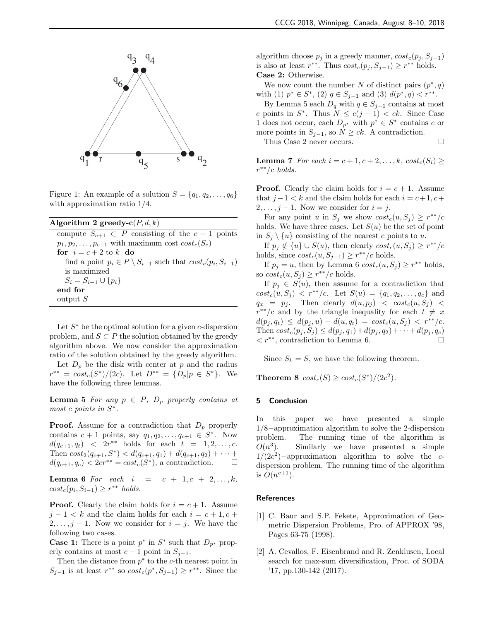

Figure 1: An example of a solution  $S = \{q_1, q_2, \ldots, q_6\}$ with approximation ratio 1/4.

| Algorithm 2 greedy-c $(P, d, k)$                                            |
|-----------------------------------------------------------------------------|
| compute $S_{c+1} \subset P$ consisting of the $c+1$ points                  |
| $p_1, p_2, \ldots, p_{c+1}$ with maximum cost $cost_c(S_c)$                 |
| for $i = c + 2$ to k do                                                     |
| find a point $p_i \in P \setminus S_{i-1}$ such that $cost_c(p_i, S_{i-1})$ |
| is maximized                                                                |
| $S_i = S_{i-1} \cup \{p_i\}$                                                |
| end for                                                                     |
| output S                                                                    |

Let  $S^*$  be the optimal solution for a given c-dispersion problem, and  $S \subset P$  the solution obtained by the greedy algorithm above. We now consider the approximation ratio of the solution obtained by the greedy algorithm.

Let  $D_p$  be the disk with center at p and the radius  $r^{**} = cost_c(S^*)/(2c)$ . Let  $D^{**} = \{D_p | p \in S^*\}$ . We have the following three lemmas.

**Lemma 5** For any  $p \in P$ ,  $D_p$  properly contains at most c points in  $S^*$ .

**Proof.** Assume for a contradiction that  $D_p$  properly contains  $c + 1$  points, say  $q_1, q_2, \ldots, q_{c+1} \in S^*$ . Now  $d(q_{c+1}, q_t) < 2r^{**}$  holds for each  $t = 1, 2, ..., c$ . Then  $cost_2(q_{c+1}, S^*) < d(q_{c+1}, q_1) + d(q_{c+1}, q_2) + \cdots +$  $d(q_{c+1}, q_c) < 2cr^{**} = cost_c(S^*),$  a contradiction.  $\Box$ 

**Lemma 6** For each  $i = c + 1, c + 2, ..., k$ ,  $cost_c(p_i, S_{i-1}) \geq r^{**}$  holds.

**Proof.** Clearly the claim holds for  $i = c + 1$ . Assume  $j-1 < k$  and the claim holds for each  $i = c+1, c+1$  $2, \ldots, j-1$ . Now we consider for  $i = j$ . We have the following two cases.

**Case 1:** There is a point  $p^*$  in  $S^*$  such that  $D_{p^*}$  properly contains at most  $c - 1$  point in  $S_{i-1}$ .

Then the distance from  $p^*$  to the c-th nearest point in  $S_{j-1}$  is at least  $r^{**}$  so  $cost_c(p^*, S_{j-1}) \geq r^{**}$ . Since the algorithm choose  $p_j$  in a greedy manner,  $cost_c(p_j, S_{j-1})$ is also at least  $r^{**}$ . Thus  $cost_c(p_j, S_{j-1}) \geq r^{**}$  holds. Case 2: Otherwise.

We now count the number N of distinct pairs  $(p^*, q)$ with (1)  $p^* \in S^*$ , (2)  $q \in S_{j-1}$  and (3)  $d(p^*, q) < r^{**}$ .

By Lemma 5 each  $D_q$  with  $q \in S_{j-1}$  contains at most c points in  $S^*$ . Thus  $N \leq c(j-1) < ck$ . Since Case 1 does not occur, each  $D_{p^*}$  with  $p^* \in S^*$  contains c or more points in  $S_{j-1}$ , so  $N \geq ck$ . A contradiction. Thus Case 2 never occurs.

**Lemma 7** For each  $i = c + 1, c + 2, \ldots, k$ ,  $cost_c(S_i) \geq$  $r^{**}/c$  holds.

**Proof.** Clearly the claim holds for  $i = c + 1$ . Assume that  $j-1 < k$  and the claim holds for each  $i = c+1, c+1$  $2, \ldots, j-1$ . Now we consider for  $i = j$ .

For any point u in  $S_j$  we show  $cost_c(u, S_j) \geq r^{**}/c$ holds. We have three cases. Let  $S(u)$  be the set of point in  $S_i \setminus \{u\}$  consisting of the nearest c points to u.

If  $p_j \notin \{u\} \cup S(u)$ , then clearly  $cost_c(u, S_j) \geq r^{**}/c$ holds, since  $cost_c(u, S_{j-1}) \geq r^{**}/c$  holds.

If  $p_j = u$ , then by Lemma 6  $cost_c(u, S_j) \geq r^{**}$  holds, so  $cost_c(u, S_j) \geq r^{**}/c$  holds.

If  $p_j \in S(u)$ , then assume for a contradiction that  $cost_c(u, S_j) < r^{**}/c$ . Let  $S(u) = \{q_1, q_2, \ldots, q_c\}$  and  $q_x = p_j$ . Then clearly  $d(u, p_j) < \cos t_c(u, S_j)$  $r^{**}/c$  and by the triangle inequality for each  $t \neq x$  $d(p_j, q_t) \leq d(p_j, u) + d(u, q_t) = cost_c(u, S_j) < r^{**}/c.$ Then  $cost_c(p_j, S_j) \leq d(p_j, q_1) + d(p_j, q_2) + \cdots + d(p_j, q_c)$  $\langle r^{**},$  contradiction to Lemma 6.

Since  $S_k = S$ , we have the following theorem.

**Theorem 8**  $cost_c(S) \geq cost_c(S^*)/(2c^2)$ .

#### 5 Conclusion

In this paper we have presented a simple 1/8−approximation algorithm to solve the 2-dispersion problem. The running time of the algorithm is  $O(n^3)$ ). Similarly we have presented a simple  $1/(2c^2)$  -approximation algorithm to solve the cdispersion problem. The running time of the algorithm is  $O(n^{c+1})$ .

#### References

- [1] C. Baur and S.P. Fekete, Approximation of Geometric Dispersion Problems, Pro. of APPROX '98, Pages 63-75 (1998).
- [2] A. Cevallos, F. Eisenbrand and R. Zenklusen, Local search for max-sum diversification, Proc. of SODA '17, pp.130-142 (2017).